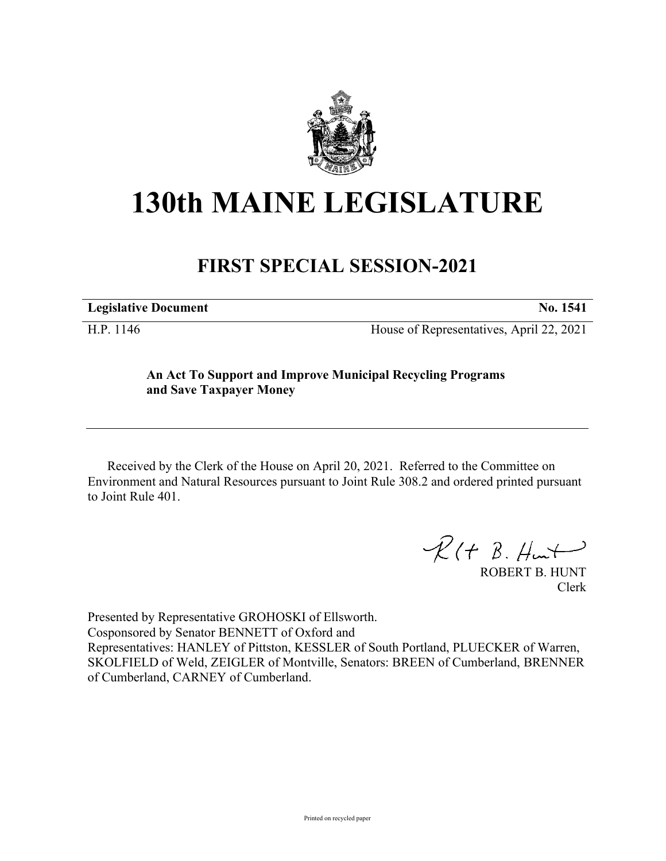

# **130th MAINE LEGISLATURE**

## **FIRST SPECIAL SESSION-2021**

| <b>Legislative Document</b> |            |  | No. 1541 |
|-----------------------------|------------|--|----------|
|                             | $\sim$ $-$ |  | .        |

H.P. 1146 House of Representatives, April 22, 2021

### **An Act To Support and Improve Municipal Recycling Programs and Save Taxpayer Money**

Received by the Clerk of the House on April 20, 2021. Referred to the Committee on Environment and Natural Resources pursuant to Joint Rule 308.2 and ordered printed pursuant to Joint Rule 401.

 $R(H B. H<sub>un</sub>+)$ 

ROBERT B. HUNT Clerk

Presented by Representative GROHOSKI of Ellsworth. Cosponsored by Senator BENNETT of Oxford and Representatives: HANLEY of Pittston, KESSLER of South Portland, PLUECKER of Warren, SKOLFIELD of Weld, ZEIGLER of Montville, Senators: BREEN of Cumberland, BRENNER of Cumberland, CARNEY of Cumberland.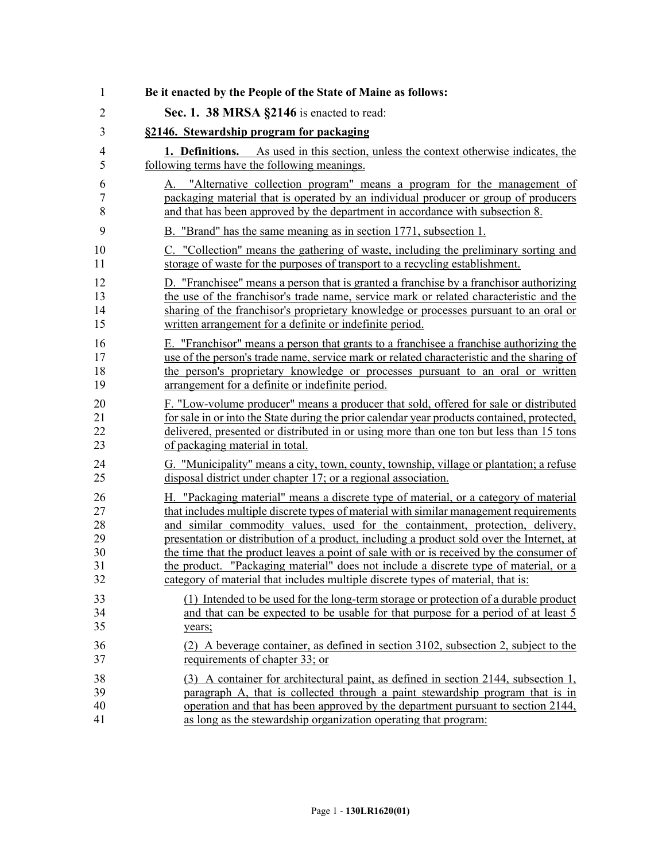| 1                        | Be it enacted by the People of the State of Maine as follows:                                                                                                                                                                                                 |
|--------------------------|---------------------------------------------------------------------------------------------------------------------------------------------------------------------------------------------------------------------------------------------------------------|
| $\overline{2}$           | Sec. 1. 38 MRSA §2146 is enacted to read:                                                                                                                                                                                                                     |
| 3                        | §2146. Stewardship program for packaging                                                                                                                                                                                                                      |
| $\overline{4}$           | <b>1. Definitions.</b> As used in this section, unless the context otherwise indicates, the                                                                                                                                                                   |
| 5                        | following terms have the following meanings.                                                                                                                                                                                                                  |
| 6<br>$\overline{7}$<br>8 | "Alternative collection program" means a program for the management of<br>$A_{\cdot}$<br>packaging material that is operated by an individual producer or group of producers<br>and that has been approved by the department in accordance with subsection 8. |
| 9                        | B. "Brand" has the same meaning as in section 1771, subsection 1.                                                                                                                                                                                             |
| 10                       | C. "Collection" means the gathering of waste, including the preliminary sorting and                                                                                                                                                                           |
| 11                       | storage of waste for the purposes of transport to a recycling establishment.                                                                                                                                                                                  |
| 12                       | D. "Franchisee" means a person that is granted a franchise by a franchisor authorizing                                                                                                                                                                        |
| 13                       | the use of the franchisor's trade name, service mark or related characteristic and the                                                                                                                                                                        |
| 14                       | sharing of the franchisor's proprietary knowledge or processes pursuant to an oral or                                                                                                                                                                         |
| 15                       | written arrangement for a definite or indefinite period.                                                                                                                                                                                                      |
| 16                       | E. "Franchisor" means a person that grants to a franchisee a franchise authorizing the                                                                                                                                                                        |
| 17                       | use of the person's trade name, service mark or related characteristic and the sharing of                                                                                                                                                                     |
| 18                       | the person's proprietary knowledge or processes pursuant to an oral or written                                                                                                                                                                                |
| 19                       | arrangement for a definite or indefinite period.                                                                                                                                                                                                              |
| 20                       | F. "Low-volume producer" means a producer that sold, offered for sale or distributed                                                                                                                                                                          |
| 21                       | for sale in or into the State during the prior calendar year products contained, protected,                                                                                                                                                                   |
| 22                       | delivered, presented or distributed in or using more than one ton but less than 15 tons                                                                                                                                                                       |
| 23                       | of packaging material in total.                                                                                                                                                                                                                               |
| 24                       | G. "Municipality" means a city, town, county, township, village or plantation; a refuse                                                                                                                                                                       |
| 25                       | disposal district under chapter 17; or a regional association.                                                                                                                                                                                                |
| 26                       | H. "Packaging material" means a discrete type of material, or a category of material                                                                                                                                                                          |
| 27                       | that includes multiple discrete types of material with similar management requirements                                                                                                                                                                        |
| 28                       | and similar commodity values, used for the containment, protection, delivery,                                                                                                                                                                                 |
| 29                       | presentation or distribution of a product, including a product sold over the Internet, at                                                                                                                                                                     |
| 30                       | the time that the product leaves a point of sale with or is received by the consumer of                                                                                                                                                                       |
| 31                       | the product. "Packaging material" does not include a discrete type of material, or a                                                                                                                                                                          |
| 32                       | category of material that includes multiple discrete types of material, that is:                                                                                                                                                                              |
| 33                       | (1) Intended to be used for the long-term storage or protection of a durable product                                                                                                                                                                          |
| 34                       | and that can be expected to be usable for that purpose for a period of at least 5                                                                                                                                                                             |
| 35                       | years;                                                                                                                                                                                                                                                        |
| 36                       | (2) A beverage container, as defined in section 3102, subsection 2, subject to the                                                                                                                                                                            |
| 37                       | requirements of chapter 33; or                                                                                                                                                                                                                                |
| 38                       | (3) A container for architectural paint, as defined in section 2144, subsection 1,                                                                                                                                                                            |
| 39                       | paragraph A, that is collected through a paint stewardship program that is in                                                                                                                                                                                 |
| 40                       | operation and that has been approved by the department pursuant to section 2144,                                                                                                                                                                              |
| 41                       | as long as the stewardship organization operating that program:                                                                                                                                                                                               |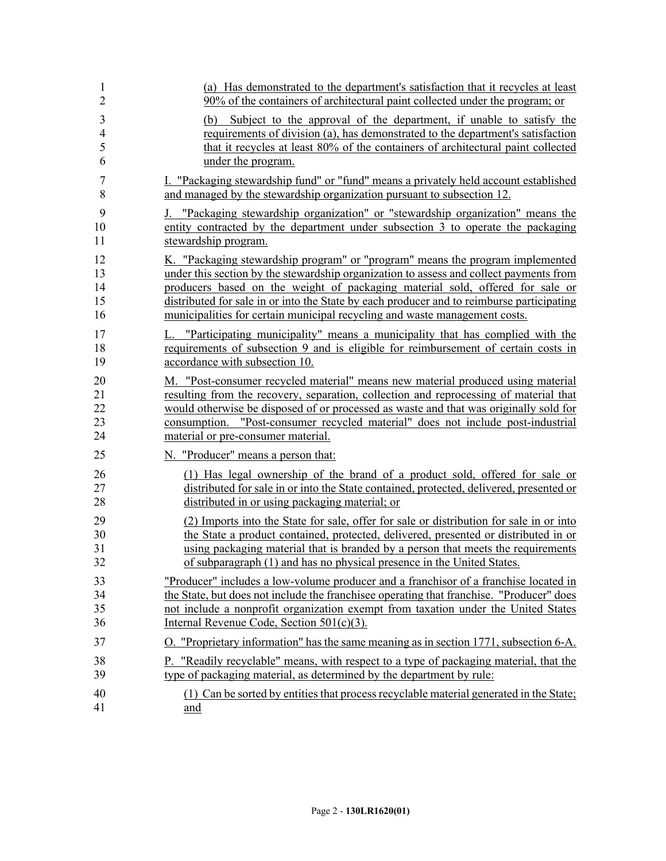| 1                             | (a) Has demonstrated to the department's satisfaction that it recycles at least                                                                                                                                                                                         |
|-------------------------------|-------------------------------------------------------------------------------------------------------------------------------------------------------------------------------------------------------------------------------------------------------------------------|
| $\overline{2}$                | 90% of the containers of architectural paint collected under the program; or                                                                                                                                                                                            |
| 3<br>$\overline{4}$<br>5<br>6 | Subject to the approval of the department, if unable to satisfy the<br>(b)<br>requirements of division (a), has demonstrated to the department's satisfaction<br>that it recycles at least 80% of the containers of architectural paint collected<br>under the program. |
| 7                             | I. "Packaging stewardship fund" or "fund" means a privately held account established                                                                                                                                                                                    |
| 8                             | and managed by the stewardship organization pursuant to subsection 12.                                                                                                                                                                                                  |
| 9                             | J. "Packaging stewardship organization" or "stewardship organization" means the                                                                                                                                                                                         |
| 10                            | entity contracted by the department under subsection 3 to operate the packaging                                                                                                                                                                                         |
| 11                            | stewardship program.                                                                                                                                                                                                                                                    |
| 12                            | K. "Packaging stewardship program" or "program" means the program implemented                                                                                                                                                                                           |
| 13                            | under this section by the stewardship organization to assess and collect payments from                                                                                                                                                                                  |
| 14                            | producers based on the weight of packaging material sold, offered for sale or                                                                                                                                                                                           |
| 15                            | distributed for sale in or into the State by each producer and to reimburse participating                                                                                                                                                                               |
| 16                            | municipalities for certain municipal recycling and waste management costs.                                                                                                                                                                                              |
| 17                            | L. "Participating municipality" means a municipality that has complied with the                                                                                                                                                                                         |
| 18                            | requirements of subsection 9 and is eligible for reimbursement of certain costs in                                                                                                                                                                                      |
| 19                            | accordance with subsection 10.                                                                                                                                                                                                                                          |
| 20                            | M. "Post-consumer recycled material" means new material produced using material                                                                                                                                                                                         |
| 21                            | resulting from the recovery, separation, collection and reprocessing of material that                                                                                                                                                                                   |
| 22                            | would otherwise be disposed of or processed as waste and that was originally sold for                                                                                                                                                                                   |
| 23                            | consumption. "Post-consumer recycled material" does not include post-industrial                                                                                                                                                                                         |
| 24                            | material or pre-consumer material.                                                                                                                                                                                                                                      |
| 25                            | N. "Producer" means a person that:                                                                                                                                                                                                                                      |
| 26                            | (1) Has legal ownership of the brand of a product sold, offered for sale or                                                                                                                                                                                             |
| 27                            | distributed for sale in or into the State contained, protected, delivered, presented or                                                                                                                                                                                 |
| 28                            | distributed in or using packaging material; or                                                                                                                                                                                                                          |
| 29                            | (2) Imports into the State for sale, offer for sale or distribution for sale in or into                                                                                                                                                                                 |
| 30                            | the State a product contained, protected, delivered, presented or distributed in or                                                                                                                                                                                     |
| 31                            | using packaging material that is branded by a person that meets the requirements                                                                                                                                                                                        |
| 32                            | of subparagraph (1) and has no physical presence in the United States.                                                                                                                                                                                                  |
| 33                            | "Producer" includes a low-volume producer and a franchisor of a franchise located in                                                                                                                                                                                    |
| 34                            | the State, but does not include the franchisee operating that franchise. "Producer" does                                                                                                                                                                                |
| 35                            | not include a nonprofit organization exempt from taxation under the United States                                                                                                                                                                                       |
| 36                            | Internal Revenue Code, Section 501(c)(3).                                                                                                                                                                                                                               |
| 37                            | O. "Proprietary information" has the same meaning as in section 1771, subsection 6-A.                                                                                                                                                                                   |
| 38                            | P. "Readily recyclable" means, with respect to a type of packaging material, that the                                                                                                                                                                                   |
| 39                            | type of packaging material, as determined by the department by rule:                                                                                                                                                                                                    |
| 40                            | (1) Can be sorted by entities that process recyclable material generated in the State;                                                                                                                                                                                  |
| 41                            | and                                                                                                                                                                                                                                                                     |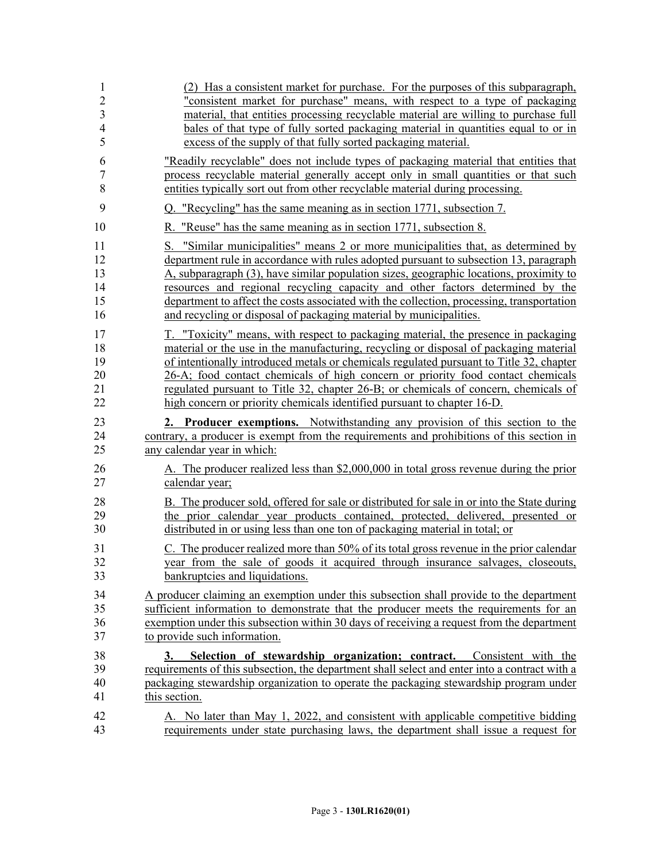| 1                        | (2) Has a consistent market for purchase. For the purposes of this subparagraph,                                                                                                                                                                                                      |
|--------------------------|---------------------------------------------------------------------------------------------------------------------------------------------------------------------------------------------------------------------------------------------------------------------------------------|
| $\overline{2}$           | "consistent market for purchase" means, with respect to a type of packaging                                                                                                                                                                                                           |
| 3                        | material, that entities processing recyclable material are willing to purchase full                                                                                                                                                                                                   |
| $\overline{4}$           | bales of that type of fully sorted packaging material in quantities equal to or in                                                                                                                                                                                                    |
| 5                        | excess of the supply of that fully sorted packaging material.                                                                                                                                                                                                                         |
| 6                        | "Readily recyclable" does not include types of packaging material that entities that                                                                                                                                                                                                  |
| 7                        | process recyclable material generally accept only in small quantities or that such                                                                                                                                                                                                    |
| 8                        | entities typically sort out from other recyclable material during processing.                                                                                                                                                                                                         |
| 9                        | Q. "Recycling" has the same meaning as in section 1771, subsection 7.                                                                                                                                                                                                                 |
| 10                       | R. "Reuse" has the same meaning as in section 1771, subsection 8.                                                                                                                                                                                                                     |
| 11                       | S. "Similar municipalities" means 2 or more municipalities that, as determined by                                                                                                                                                                                                     |
| 12                       | department rule in accordance with rules adopted pursuant to subsection 13, paragraph                                                                                                                                                                                                 |
| 13                       | A, subparagraph (3), have similar population sizes, geographic locations, proximity to                                                                                                                                                                                                |
| 14                       | resources and regional recycling capacity and other factors determined by the                                                                                                                                                                                                         |
| 15                       | department to affect the costs associated with the collection, processing, transportation                                                                                                                                                                                             |
| 16                       | and recycling or disposal of packaging material by municipalities.                                                                                                                                                                                                                    |
| 17                       | T. "Toxicity" means, with respect to packaging material, the presence in packaging                                                                                                                                                                                                    |
| 18                       | material or the use in the manufacturing, recycling or disposal of packaging material                                                                                                                                                                                                 |
| 19                       | of intentionally introduced metals or chemicals regulated pursuant to Title 32, chapter                                                                                                                                                                                               |
| 20                       | 26-A; food contact chemicals of high concern or priority food contact chemicals                                                                                                                                                                                                       |
| 21                       | regulated pursuant to Title 32, chapter 26-B; or chemicals of concern, chemicals of                                                                                                                                                                                                   |
| 22                       | high concern or priority chemicals identified pursuant to chapter 16-D.                                                                                                                                                                                                               |
| 23                       | 2. Producer exemptions. Notwithstanding any provision of this section to the                                                                                                                                                                                                          |
| 24                       | contrary, a producer is exempt from the requirements and prohibitions of this section in                                                                                                                                                                                              |
| 25                       | any calendar year in which:                                                                                                                                                                                                                                                           |
| 26                       | A. The producer realized less than \$2,000,000 in total gross revenue during the prior                                                                                                                                                                                                |
| 27                       | calendar year;                                                                                                                                                                                                                                                                        |
| 28                       | B. The producer sold, offered for sale or distributed for sale in or into the State during                                                                                                                                                                                            |
| 29                       | the prior calendar year products contained, protected, delivered, presented or                                                                                                                                                                                                        |
| 30                       | distributed in or using less than one ton of packaging material in total; or                                                                                                                                                                                                          |
| 31                       | C. The producer realized more than 50% of its total gross revenue in the prior calendar                                                                                                                                                                                               |
| 32                       | year from the sale of goods it acquired through insurance salvages, closeouts,                                                                                                                                                                                                        |
| 33                       | bankruptcies and liquidations.                                                                                                                                                                                                                                                        |
| 34                       | A producer claiming an exemption under this subsection shall provide to the department                                                                                                                                                                                                |
| 35                       | sufficient information to demonstrate that the producer meets the requirements for an                                                                                                                                                                                                 |
| 36                       | exemption under this subsection within 30 days of receiving a request from the department                                                                                                                                                                                             |
| 37                       | to provide such information.                                                                                                                                                                                                                                                          |
| 38<br>39<br>$40\,$<br>41 | Selection of stewardship organization; contract. Consistent with the<br>3.<br>requirements of this subsection, the department shall select and enter into a contract with a<br>packaging stewardship organization to operate the packaging stewardship program under<br>this section. |
| 42                       | A. No later than May 1, 2022, and consistent with applicable competitive bidding                                                                                                                                                                                                      |
| 43                       | requirements under state purchasing laws, the department shall issue a request for                                                                                                                                                                                                    |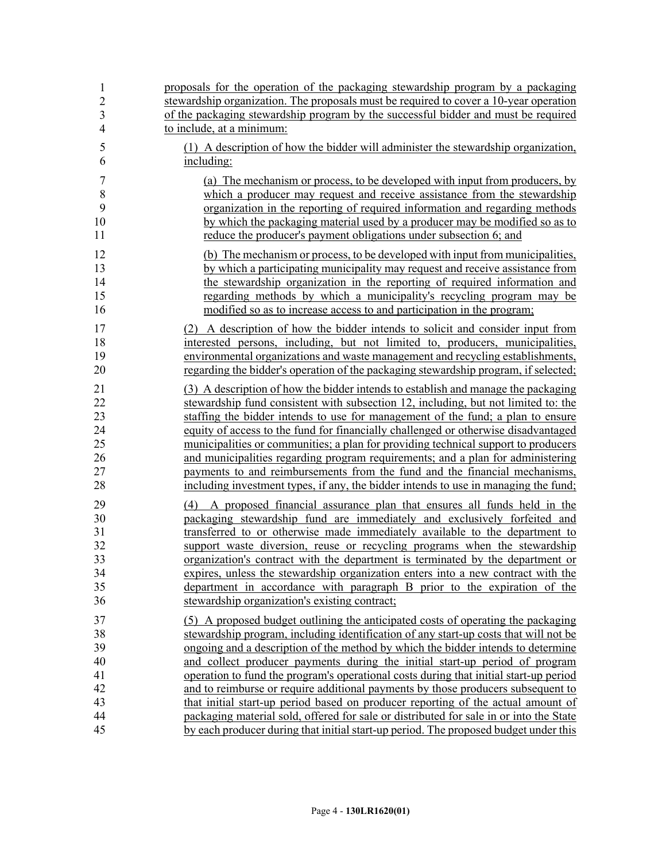| 1                                            | proposals for the operation of the packaging stewardship program by a packaging                                                                                                                                                                                                                                                                                                                                                                                                                                                                                                                                          |
|----------------------------------------------|--------------------------------------------------------------------------------------------------------------------------------------------------------------------------------------------------------------------------------------------------------------------------------------------------------------------------------------------------------------------------------------------------------------------------------------------------------------------------------------------------------------------------------------------------------------------------------------------------------------------------|
| $\overline{c}$                               | stewardship organization. The proposals must be required to cover a 10-year operation                                                                                                                                                                                                                                                                                                                                                                                                                                                                                                                                    |
| $\overline{3}$                               | of the packaging stewardship program by the successful bidder and must be required                                                                                                                                                                                                                                                                                                                                                                                                                                                                                                                                       |
| $\overline{4}$                               | to include, at a minimum:                                                                                                                                                                                                                                                                                                                                                                                                                                                                                                                                                                                                |
| 5                                            | (1) A description of how the bidder will administer the stewardship organization,                                                                                                                                                                                                                                                                                                                                                                                                                                                                                                                                        |
| 6                                            | including:                                                                                                                                                                                                                                                                                                                                                                                                                                                                                                                                                                                                               |
| 7                                            | (a) The mechanism or process, to be developed with input from producers, by                                                                                                                                                                                                                                                                                                                                                                                                                                                                                                                                              |
| 8                                            | which a producer may request and receive assistance from the stewardship                                                                                                                                                                                                                                                                                                                                                                                                                                                                                                                                                 |
| 9                                            | organization in the reporting of required information and regarding methods                                                                                                                                                                                                                                                                                                                                                                                                                                                                                                                                              |
| 10                                           | by which the packaging material used by a producer may be modified so as to                                                                                                                                                                                                                                                                                                                                                                                                                                                                                                                                              |
| 11                                           | reduce the producer's payment obligations under subsection 6; and                                                                                                                                                                                                                                                                                                                                                                                                                                                                                                                                                        |
| 12                                           | (b) The mechanism or process, to be developed with input from municipalities,                                                                                                                                                                                                                                                                                                                                                                                                                                                                                                                                            |
| 13                                           | by which a participating municipality may request and receive assistance from                                                                                                                                                                                                                                                                                                                                                                                                                                                                                                                                            |
| 14                                           | the stewardship organization in the reporting of required information and                                                                                                                                                                                                                                                                                                                                                                                                                                                                                                                                                |
| 15                                           | regarding methods by which a municipality's recycling program may be                                                                                                                                                                                                                                                                                                                                                                                                                                                                                                                                                     |
| 16                                           | modified so as to increase access to and participation in the program;                                                                                                                                                                                                                                                                                                                                                                                                                                                                                                                                                   |
| 17                                           | (2) A description of how the bidder intends to solicit and consider input from                                                                                                                                                                                                                                                                                                                                                                                                                                                                                                                                           |
| 18                                           | interested persons, including, but not limited to, producers, municipalities,                                                                                                                                                                                                                                                                                                                                                                                                                                                                                                                                            |
| 19                                           | environmental organizations and waste management and recycling establishments,                                                                                                                                                                                                                                                                                                                                                                                                                                                                                                                                           |
| 20                                           | regarding the bidder's operation of the packaging stewardship program, if selected;                                                                                                                                                                                                                                                                                                                                                                                                                                                                                                                                      |
| 21                                           | (3) A description of how the bidder intends to establish and manage the packaging                                                                                                                                                                                                                                                                                                                                                                                                                                                                                                                                        |
| 22                                           | stewardship fund consistent with subsection 12, including, but not limited to: the                                                                                                                                                                                                                                                                                                                                                                                                                                                                                                                                       |
| 23                                           | staffing the bidder intends to use for management of the fund; a plan to ensure                                                                                                                                                                                                                                                                                                                                                                                                                                                                                                                                          |
| 24                                           | equity of access to the fund for financially challenged or otherwise disadvantaged                                                                                                                                                                                                                                                                                                                                                                                                                                                                                                                                       |
| 25                                           | municipalities or communities; a plan for providing technical support to producers                                                                                                                                                                                                                                                                                                                                                                                                                                                                                                                                       |
| 26                                           | and municipalities regarding program requirements; and a plan for administering                                                                                                                                                                                                                                                                                                                                                                                                                                                                                                                                          |
| 27                                           | payments to and reimbursements from the fund and the financial mechanisms,                                                                                                                                                                                                                                                                                                                                                                                                                                                                                                                                               |
| 28                                           | including investment types, if any, the bidder intends to use in managing the fund;                                                                                                                                                                                                                                                                                                                                                                                                                                                                                                                                      |
| 29<br>30<br>31<br>32<br>33<br>34<br>35<br>36 | A proposed financial assurance plan that ensures all funds held in the<br>(4)<br>packaging stewardship fund are immediately and exclusively forfeited and<br>transferred to or otherwise made immediately available to the department to<br>support waste diversion, reuse or recycling programs when the stewardship<br>organization's contract with the department is terminated by the department or<br>expires, unless the stewardship organization enters into a new contract with the<br>department in accordance with paragraph B prior to the expiration of the<br>stewardship organization's existing contract; |
| 37                                           | (5) A proposed budget outlining the anticipated costs of operating the packaging                                                                                                                                                                                                                                                                                                                                                                                                                                                                                                                                         |
| 38                                           | stewardship program, including identification of any start-up costs that will not be                                                                                                                                                                                                                                                                                                                                                                                                                                                                                                                                     |
| 39                                           | ongoing and a description of the method by which the bidder intends to determine                                                                                                                                                                                                                                                                                                                                                                                                                                                                                                                                         |
| 40                                           | and collect producer payments during the initial start-up period of program                                                                                                                                                                                                                                                                                                                                                                                                                                                                                                                                              |
| 41                                           | operation to fund the program's operational costs during that initial start-up period                                                                                                                                                                                                                                                                                                                                                                                                                                                                                                                                    |
| 42                                           | and to reimburse or require additional payments by those producers subsequent to                                                                                                                                                                                                                                                                                                                                                                                                                                                                                                                                         |
| 43                                           | that initial start-up period based on producer reporting of the actual amount of                                                                                                                                                                                                                                                                                                                                                                                                                                                                                                                                         |
| 44                                           | packaging material sold, offered for sale or distributed for sale in or into the State                                                                                                                                                                                                                                                                                                                                                                                                                                                                                                                                   |
| 45                                           | by each producer during that initial start-up period. The proposed budget under this                                                                                                                                                                                                                                                                                                                                                                                                                                                                                                                                     |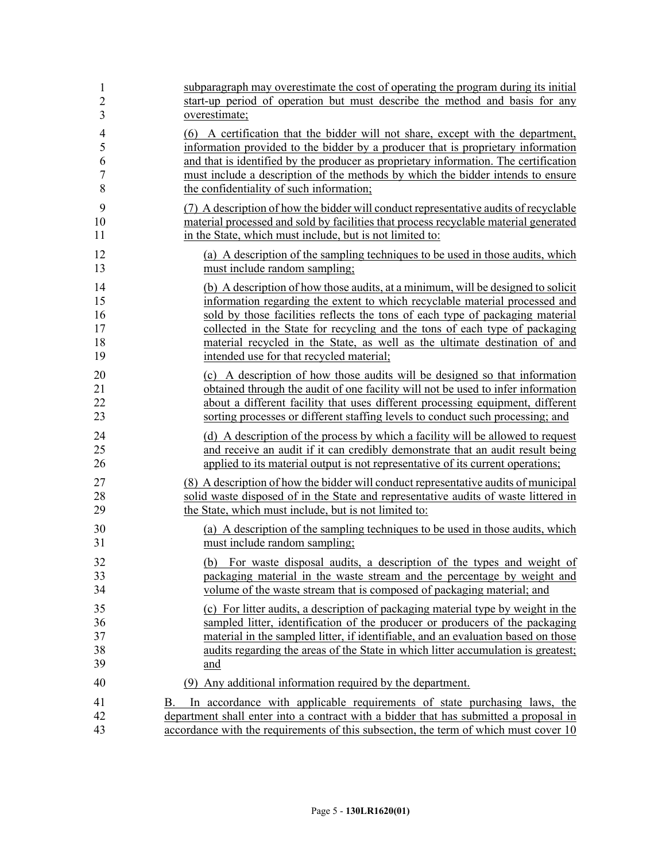| $\mathbf{1}$   | subparagraph may overestimate the cost of operating the program during its initial                                                                                                                                                                              |
|----------------|-----------------------------------------------------------------------------------------------------------------------------------------------------------------------------------------------------------------------------------------------------------------|
| $\overline{c}$ | start-up period of operation but must describe the method and basis for any                                                                                                                                                                                     |
| 3              | overestimate;                                                                                                                                                                                                                                                   |
| $\overline{4}$ | (6) A certification that the bidder will not share, except with the department,                                                                                                                                                                                 |
| 5              | information provided to the bidder by a producer that is proprietary information                                                                                                                                                                                |
| 6              | and that is identified by the producer as proprietary information. The certification                                                                                                                                                                            |
| $\sqrt{ }$     | must include a description of the methods by which the bidder intends to ensure                                                                                                                                                                                 |
| 8              | the confidentiality of such information;                                                                                                                                                                                                                        |
| 9              | (7) A description of how the bidder will conduct representative audits of recyclable                                                                                                                                                                            |
| 10             | material processed and sold by facilities that process recyclable material generated                                                                                                                                                                            |
| 11             | in the State, which must include, but is not limited to:                                                                                                                                                                                                        |
| 12             | (a) A description of the sampling techniques to be used in those audits, which                                                                                                                                                                                  |
| 13             | must include random sampling;                                                                                                                                                                                                                                   |
| 14             | (b) A description of how those audits, at a minimum, will be designed to solicit                                                                                                                                                                                |
| 15             | information regarding the extent to which recyclable material processed and                                                                                                                                                                                     |
| 16             | sold by those facilities reflects the tons of each type of packaging material                                                                                                                                                                                   |
| 17             | collected in the State for recycling and the tons of each type of packaging                                                                                                                                                                                     |
| 18             | material recycled in the State, as well as the ultimate destination of and                                                                                                                                                                                      |
| 19             | intended use for that recycled material;                                                                                                                                                                                                                        |
| 20             | (c) A description of how those audits will be designed so that information                                                                                                                                                                                      |
| 21             | obtained through the audit of one facility will not be used to infer information                                                                                                                                                                                |
| 22             | about a different facility that uses different processing equipment, different                                                                                                                                                                                  |
| 23             | sorting processes or different staffing levels to conduct such processing; and                                                                                                                                                                                  |
| 24             | (d) A description of the process by which a facility will be allowed to request                                                                                                                                                                                 |
| 25             | and receive an audit if it can credibly demonstrate that an audit result being                                                                                                                                                                                  |
| 26             | applied to its material output is not representative of its current operations;                                                                                                                                                                                 |
| 27             | (8) A description of how the bidder will conduct representative audits of municipal                                                                                                                                                                             |
| 28             | solid waste disposed of in the State and representative audits of waste littered in                                                                                                                                                                             |
| 29             | the State, which must include, but is not limited to:                                                                                                                                                                                                           |
| 30             | (a) A description of the sampling techniques to be used in those audits, which                                                                                                                                                                                  |
| 31             | must include random sampling;                                                                                                                                                                                                                                   |
| 32             | (b) For waste disposal audits, a description of the types and weight of                                                                                                                                                                                         |
| 33             | packaging material in the waste stream and the percentage by weight and                                                                                                                                                                                         |
| 34             | volume of the waste stream that is composed of packaging material; and                                                                                                                                                                                          |
| 35             | (c) For litter audits, a description of packaging material type by weight in the                                                                                                                                                                                |
| 36             | sampled litter, identification of the producer or producers of the packaging                                                                                                                                                                                    |
| 37             | material in the sampled litter, if identifiable, and an evaluation based on those                                                                                                                                                                               |
| 38             | audits regarding the areas of the State in which litter accumulation is greatest;                                                                                                                                                                               |
| 39             | and                                                                                                                                                                                                                                                             |
| 40             | (9) Any additional information required by the department.                                                                                                                                                                                                      |
| 41<br>42<br>43 | In accordance with applicable requirements of state purchasing laws, the<br>В.<br>department shall enter into a contract with a bidder that has submitted a proposal in<br>accordance with the requirements of this subsection, the term of which must cover 10 |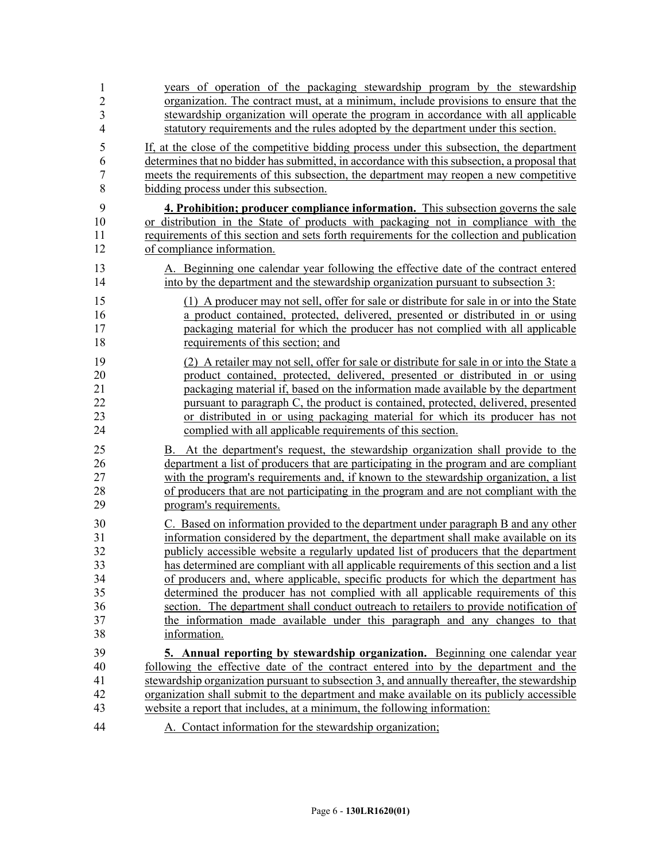| $\mathbf{1}$   | years of operation of the packaging stewardship program by the stewardship                   |
|----------------|----------------------------------------------------------------------------------------------|
| $\overline{2}$ | organization. The contract must, at a minimum, include provisions to ensure that the         |
| 3              | stewardship organization will operate the program in accordance with all applicable          |
| $\overline{4}$ | statutory requirements and the rules adopted by the department under this section.           |
| 5              | If, at the close of the competitive bidding process under this subsection, the department    |
| 6              | determines that no bidder has submitted, in accordance with this subsection, a proposal that |
| $\overline{7}$ | meets the requirements of this subsection, the department may reopen a new competitive       |
| 8              | bidding process under this subsection.                                                       |
| 9              | 4. Prohibition; producer compliance information. This subsection governs the sale            |
| $10\,$         | or distribution in the State of products with packaging not in compliance with the           |
| 11             | requirements of this section and sets forth requirements for the collection and publication  |
| 12             | of compliance information.                                                                   |
| 13             | A. Beginning one calendar year following the effective date of the contract entered          |
| 14             | into by the department and the stewardship organization pursuant to subsection 3:            |
| 15             | (1) A producer may not sell, offer for sale or distribute for sale in or into the State      |
| 16             | a product contained, protected, delivered, presented or distributed in or using              |
| 17             | packaging material for which the producer has not complied with all applicable               |
| 18             | requirements of this section; and                                                            |
| 19             | (2) A retailer may not sell, offer for sale or distribute for sale in or into the State a    |
| 20             | product contained, protected, delivered, presented or distributed in or using                |
| 21             | packaging material if, based on the information made available by the department             |
| 22             | pursuant to paragraph C, the product is contained, protected, delivered, presented           |
| 23             | or distributed in or using packaging material for which its producer has not                 |
| 24             | complied with all applicable requirements of this section.                                   |
| 25             | B. At the department's request, the stewardship organization shall provide to the            |
| 26             | department a list of producers that are participating in the program and are compliant       |
| 27             | with the program's requirements and, if known to the stewardship organization, a list        |
| 28             | of producers that are not participating in the program and are not compliant with the        |
| 29             | program's requirements.                                                                      |
| 30             | C. Based on information provided to the department under paragraph B and any other           |
| 31             | information considered by the department, the department shall make available on its         |
| 32             | publicly accessible website a regularly updated list of producers that the department        |
| 33             | has determined are compliant with all applicable requirements of this section and a list     |
| 34             | of producers and, where applicable, specific products for which the department has           |
| 35             | determined the producer has not complied with all applicable requirements of this            |
| 36             | section. The department shall conduct outreach to retailers to provide notification of       |
| 37             | the information made available under this paragraph and any changes to that                  |
| 38             | information.                                                                                 |
| 39             | 5. Annual reporting by stewardship organization. Beginning one calendar year                 |
| 40             | following the effective date of the contract entered into by the department and the          |
| 41             | stewardship organization pursuant to subsection 3, and annually thereafter, the stewardship  |
| 42             | organization shall submit to the department and make available on its publicly accessible    |
| 43             | website a report that includes, at a minimum, the following information:                     |
| 44             | A. Contact information for the stewardship organization;                                     |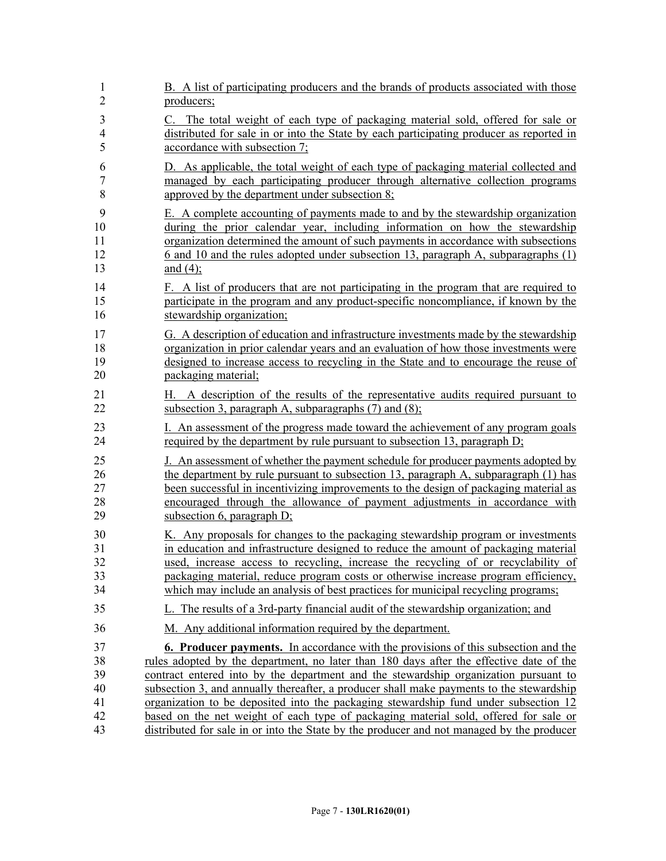| $\mathbf{1}$   | B. A list of participating producers and the brands of products associated with those     |
|----------------|-------------------------------------------------------------------------------------------|
| $\overline{2}$ | producers;                                                                                |
| 3              | C. The total weight of each type of packaging material sold, offered for sale or          |
| 4              | distributed for sale in or into the State by each participating producer as reported in   |
| 5              | accordance with subsection 7;                                                             |
| 6              | D. As applicable, the total weight of each type of packaging material collected and       |
| 7              | managed by each participating producer through alternative collection programs            |
| 8              | approved by the department under subsection 8;                                            |
| 9              | E. A complete accounting of payments made to and by the stewardship organization          |
| 10             | during the prior calendar year, including information on how the stewardship              |
| 11             | organization determined the amount of such payments in accordance with subsections        |
| 12             | 6 and 10 and the rules adopted under subsection 13, paragraph A, subparagraphs (1)        |
| 13             | and $(4)$ ;                                                                               |
| 14             | F. A list of producers that are not participating in the program that are required to     |
| 15             | participate in the program and any product-specific noncompliance, if known by the        |
| 16             | stewardship organization;                                                                 |
| 17             | G. A description of education and infrastructure investments made by the stewardship      |
| 18             | organization in prior calendar years and an evaluation of how those investments were      |
| 19             | designed to increase access to recycling in the State and to encourage the reuse of       |
| 20             | packaging material;                                                                       |
| 21             | H. A description of the results of the representative audits required pursuant to         |
| 22             | subsection 3, paragraph A, subparagraphs $(7)$ and $(8)$ ;                                |
| 23             | I. An assessment of the progress made toward the achievement of any program goals         |
| 24             | required by the department by rule pursuant to subsection 13, paragraph D;                |
| 25             | J. An assessment of whether the payment schedule for producer payments adopted by         |
| 26             | the department by rule pursuant to subsection 13, paragraph A, subparagraph (1) has       |
| 27             | been successful in incentivizing improvements to the design of packaging material as      |
| 28             | encouraged through the allowance of payment adjustments in accordance with                |
| 29             | subsection 6, paragraph $D$ ;                                                             |
| 30             | K. Any proposals for changes to the packaging stewardship program or investments          |
| 31             | in education and infrastructure designed to reduce the amount of packaging material       |
| 32             | used, increase access to recycling, increase the recycling of or recyclability of         |
| 33             | packaging material, reduce program costs or otherwise increase program efficiency,        |
| 34             | which may include an analysis of best practices for municipal recycling programs;         |
| 35             | L. The results of a 3rd-party financial audit of the stewardship organization; and        |
| 36             | M. Any additional information required by the department.                                 |
| 37             | <b>6. Producer payments.</b> In accordance with the provisions of this subsection and the |
| 38             | rules adopted by the department, no later than 180 days after the effective date of the   |
| 39             | contract entered into by the department and the stewardship organization pursuant to      |
| 40             | subsection 3, and annually thereafter, a producer shall make payments to the stewardship  |
| 41             | organization to be deposited into the packaging stewardship fund under subsection 12      |
| 42             | based on the net weight of each type of packaging material sold, offered for sale or      |
| 43             | distributed for sale in or into the State by the producer and not managed by the producer |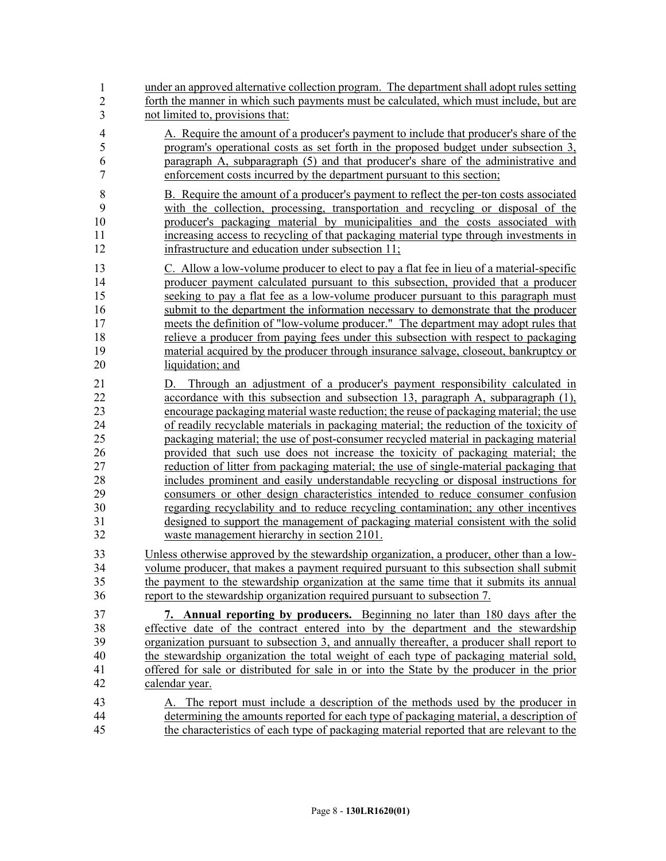44 under an approved alternative collection program. The department shall adopt rules setting forth the manner in which such payments must be calculated, which must include, but are not limited to, provisions that: 4 A. Require the amount of a producer's payment to include that producer's share of the 5 program's operational costs as set forth in the proposed budget under subsection 3, 6 paragraph A, subparagraph (5) and that producer's share of the administrative and 7 enforcement costs incurred by the department pursuant to this section; 8 B. Require the amount of a producer's payment to reflect the per-ton costs associated 9 with the collection, processing, transportation and recycling or disposal of the 10 producer's packaging material by municipalities and the costs associated with 11 increasing access to recycling of that packaging material type through investments in 12 infrastructure and education under subsection 11; 13 C. Allow a low-volume producer to elect to pay a flat fee in lieu of a material-specific 14 producer payment calculated pursuant to this subsection, provided that a producer 15 seeking to pay a flat fee as a low-volume producer pursuant to this paragraph must 16 submit to the department the information necessary to demonstrate that the producer 17 meets the definition of "low-volume producer." The department may adopt rules that 18 relieve a producer from paying fees under this subsection with respect to packaging 19 material acquired by the producer through insurance salvage, closeout, bankruptcy or 20 liquidation; and 21 D. Through an adjustment of a producer's payment responsibility calculated in 22 accordance with this subsection and subsection 13, paragraph A, subparagraph (1), 23 encourage packaging material waste reduction; the reuse of packaging material; the use 24 of readily recyclable materials in packaging material; the reduction of the toxicity of 25 packaging material; the use of post-consumer recycled material in packaging material 26 provided that such use does not increase the toxicity of packaging material; the 27 reduction of litter from packaging material; the use of single-material packaging that 28 includes prominent and easily understandable recycling or disposal instructions for 29 consumers or other design characteristics intended to reduce consumer confusion 30 regarding recyclability and to reduce recycling contamination; any other incentives 31 designed to support the management of packaging material consistent with the solid 32 waste management hierarchy in section 2101. 33 Unless otherwise approved by the stewardship organization, a producer, other than a low-34 volume producer, that makes a payment required pursuant to this subsection shall submit 35 the payment to the stewardship organization at the same time that it submits its annual 36 report to the stewardship organization required pursuant to subsection 7. 37 **7. Annual reporting by producers.** Beginning no later than 180 days after the 38 effective date of the contract entered into by the department and the stewardship 39 organization pursuant to subsection 3, and annually thereafter, a producer shall report to 40 the stewardship organization the total weight of each type of packaging material sold, 41 offered for sale or distributed for sale in or into the State by the producer in the prior 42 calendar year. 43 A. The report must include a description of the methods used by the producer in 44 determining the amounts reported for each type of packaging material, a description of 45 the characteristics of each type of packaging material reported that are relevant to the 1 2 3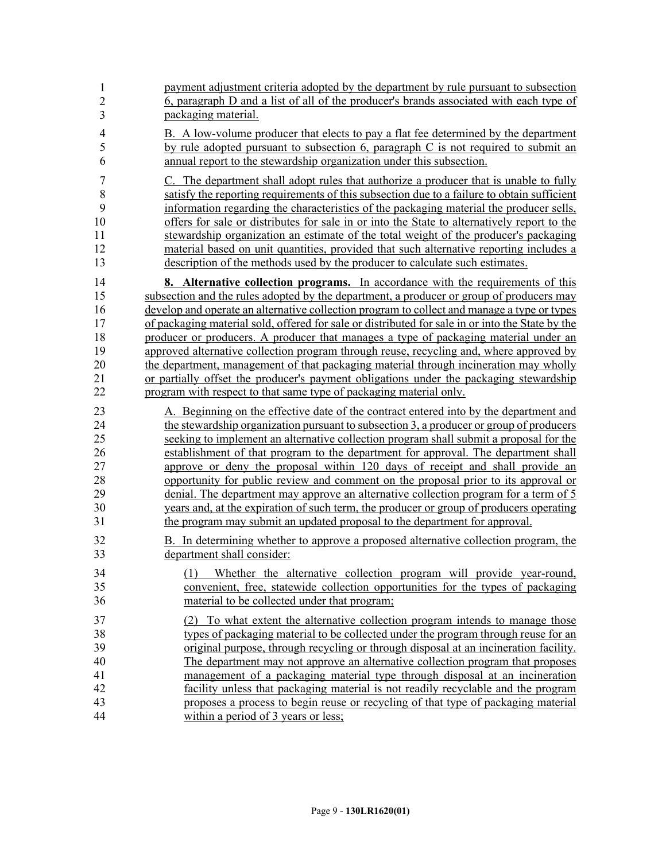| 1              | payment adjustment criteria adopted by the department by rule pursuant to subsection                                                                                                                          |
|----------------|---------------------------------------------------------------------------------------------------------------------------------------------------------------------------------------------------------------|
| $\overline{2}$ | 6, paragraph D and a list of all of the producer's brands associated with each type of                                                                                                                        |
| 3              | packaging material.                                                                                                                                                                                           |
| $\overline{4}$ | B. A low-volume producer that elects to pay a flat fee determined by the department                                                                                                                           |
| 5              | by rule adopted pursuant to subsection 6, paragraph C is not required to submit an                                                                                                                            |
| 6              | annual report to the stewardship organization under this subsection.                                                                                                                                          |
| $\overline{7}$ | C. The department shall adopt rules that authorize a producer that is unable to fully                                                                                                                         |
| 8              | satisfy the reporting requirements of this subsection due to a failure to obtain sufficient                                                                                                                   |
| 9              | information regarding the characteristics of the packaging material the producer sells,                                                                                                                       |
| 10             | offers for sale or distributes for sale in or into the State to alternatively report to the                                                                                                                   |
| 11             | stewardship organization an estimate of the total weight of the producer's packaging                                                                                                                          |
| 12             | material based on unit quantities, provided that such alternative reporting includes a                                                                                                                        |
| 13             | description of the methods used by the producer to calculate such estimates.                                                                                                                                  |
| 14             | <b>8.</b> Alternative collection programs. In accordance with the requirements of this                                                                                                                        |
| 15             | subsection and the rules adopted by the department, a producer or group of producers may                                                                                                                      |
| 16             | develop and operate an alternative collection program to collect and manage a type or types                                                                                                                   |
| 17             | of packaging material sold, offered for sale or distributed for sale in or into the State by the                                                                                                              |
| 18             | producer or producers. A producer that manages a type of packaging material under an                                                                                                                          |
| 19             | approved alternative collection program through reuse, recycling and, where approved by                                                                                                                       |
| 20             | the department, management of that packaging material through incineration may wholly                                                                                                                         |
| 21             | or partially offset the producer's payment obligations under the packaging stewardship                                                                                                                        |
| 22             | program with respect to that same type of packaging material only.                                                                                                                                            |
| 23             | A. Beginning on the effective date of the contract entered into by the department and                                                                                                                         |
| 24             | the stewardship organization pursuant to subsection 3, a producer or group of producers                                                                                                                       |
| 25             | seeking to implement an alternative collection program shall submit a proposal for the                                                                                                                        |
| 26             | establishment of that program to the department for approval. The department shall                                                                                                                            |
| 27             | approve or deny the proposal within 120 days of receipt and shall provide an                                                                                                                                  |
| 28             | opportunity for public review and comment on the proposal prior to its approval or                                                                                                                            |
| 29             | denial. The department may approve an alternative collection program for a term of 5                                                                                                                          |
| 30             | years and, at the expiration of such term, the producer or group of producers operating                                                                                                                       |
| 31             | the program may submit an updated proposal to the department for approval.                                                                                                                                    |
| 32             | B. In determining whether to approve a proposed alternative collection program, the                                                                                                                           |
| 33             | department shall consider:                                                                                                                                                                                    |
| 34<br>35<br>36 | Whether the alternative collection program will provide year-round,<br>(1)<br>convenient, free, statewide collection opportunities for the types of packaging<br>material to be collected under that program; |
| 37             | (2) To what extent the alternative collection program intends to manage those                                                                                                                                 |
| 38             | types of packaging material to be collected under the program through reuse for an                                                                                                                            |
| 39             | original purpose, through recycling or through disposal at an incineration facility.                                                                                                                          |
| 40             | The department may not approve an alternative collection program that proposes                                                                                                                                |
| 41             | management of a packaging material type through disposal at an incineration                                                                                                                                   |
| 42             | facility unless that packaging material is not readily recyclable and the program                                                                                                                             |
| 43             | proposes a process to begin reuse or recycling of that type of packaging material                                                                                                                             |
| 44             | within a period of 3 years or less;                                                                                                                                                                           |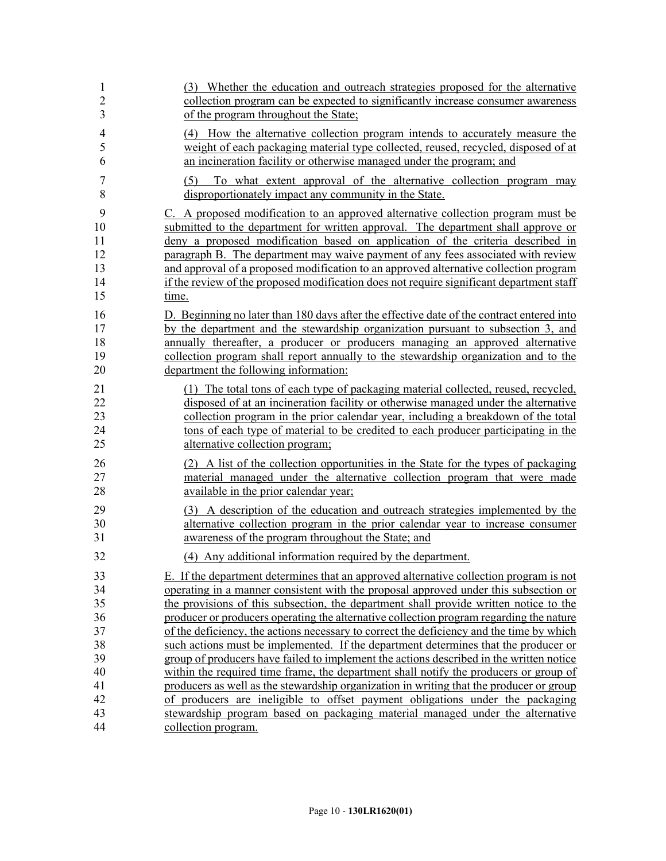| 1              | (3) Whether the education and outreach strategies proposed for the alternative                                                    |
|----------------|-----------------------------------------------------------------------------------------------------------------------------------|
| $\overline{c}$ | collection program can be expected to significantly increase consumer awareness                                                   |
| 3              | of the program throughout the State;                                                                                              |
| $\overline{4}$ | (4) How the alternative collection program intends to accurately measure the                                                      |
| 5              | weight of each packaging material type collected, reused, recycled, disposed of at                                                |
| 6              | an incineration facility or otherwise managed under the program; and                                                              |
| 7<br>8         | To what extent approval of the alternative collection program may<br>(5)<br>disproportionately impact any community in the State. |
| 9              | C. A proposed modification to an approved alternative collection program must be                                                  |
| 10             | submitted to the department for written approval. The department shall approve or                                                 |
| 11             | deny a proposed modification based on application of the criteria described in                                                    |
| 12             | paragraph B. The department may waive payment of any fees associated with review                                                  |
| 13             | and approval of a proposed modification to an approved alternative collection program                                             |
| 14             | if the review of the proposed modification does not require significant department staff                                          |
| 15             | time.                                                                                                                             |
| 16             | D. Beginning no later than 180 days after the effective date of the contract entered into                                         |
| 17             | by the department and the stewardship organization pursuant to subsection 3, and                                                  |
| 18             | annually thereafter, a producer or producers managing an approved alternative                                                     |
| 19             | collection program shall report annually to the stewardship organization and to the                                               |
| 20             | department the following information:                                                                                             |
| 21             | (1) The total tons of each type of packaging material collected, reused, recycled,                                                |
| 22             | disposed of at an incineration facility or otherwise managed under the alternative                                                |
| 23             | collection program in the prior calendar year, including a breakdown of the total                                                 |
| 24             | tons of each type of material to be credited to each producer participating in the                                                |
| 25             | alternative collection program;                                                                                                   |
| 26             | (2) A list of the collection opportunities in the State for the types of packaging                                                |
| 27             | material managed under the alternative collection program that were made                                                          |
| 28             | available in the prior calendar year;                                                                                             |
| 29             | (3) A description of the education and outreach strategies implemented by the                                                     |
| 30             | alternative collection program in the prior calendar year to increase consumer                                                    |
| 31             | awareness of the program throughout the State; and                                                                                |
| 32             | (4) Any additional information required by the department.                                                                        |
| 33             | E. If the department determines that an approved alternative collection program is not                                            |
| 34             | operating in a manner consistent with the proposal approved under this subsection or                                              |
| 35             | the provisions of this subsection, the department shall provide written notice to the                                             |
| 36             | producer or producers operating the alternative collection program regarding the nature                                           |
| 37             | of the deficiency, the actions necessary to correct the deficiency and the time by which                                          |
| 38             | such actions must be implemented. If the department determines that the producer or                                               |
| 39             | group of producers have failed to implement the actions described in the written notice                                           |
| 40             | within the required time frame, the department shall notify the producers or group of                                             |
| 41             | producers as well as the stewardship organization in writing that the producer or group                                           |
| 42             | of producers are ineligible to offset payment obligations under the packaging                                                     |
| 43             | stewardship program based on packaging material managed under the alternative                                                     |
| 44             | collection program.                                                                                                               |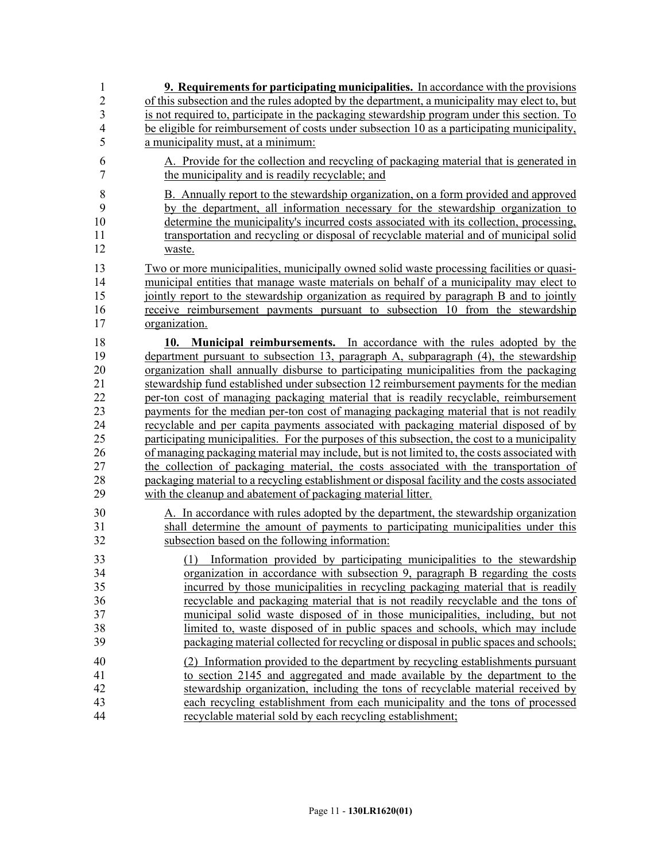| 1                                                                    | <b>9. Requirements for participating municipalities.</b> In accordance with the provisions                                                                                                                                                                                                                                                                                                                                                                                                                                                                                                                                                                                                                                                                                                                                                                                                                                                                                                                                                                                                       |
|----------------------------------------------------------------------|--------------------------------------------------------------------------------------------------------------------------------------------------------------------------------------------------------------------------------------------------------------------------------------------------------------------------------------------------------------------------------------------------------------------------------------------------------------------------------------------------------------------------------------------------------------------------------------------------------------------------------------------------------------------------------------------------------------------------------------------------------------------------------------------------------------------------------------------------------------------------------------------------------------------------------------------------------------------------------------------------------------------------------------------------------------------------------------------------|
| $\overline{2}$                                                       | of this subsection and the rules adopted by the department, a municipality may elect to, but                                                                                                                                                                                                                                                                                                                                                                                                                                                                                                                                                                                                                                                                                                                                                                                                                                                                                                                                                                                                     |
| $\overline{3}$                                                       | is not required to, participate in the packaging stewardship program under this section. To                                                                                                                                                                                                                                                                                                                                                                                                                                                                                                                                                                                                                                                                                                                                                                                                                                                                                                                                                                                                      |
| $\overline{4}$                                                       | be eligible for reimbursement of costs under subsection 10 as a participating municipality,                                                                                                                                                                                                                                                                                                                                                                                                                                                                                                                                                                                                                                                                                                                                                                                                                                                                                                                                                                                                      |
| 5                                                                    | a municipality must, at a minimum:                                                                                                                                                                                                                                                                                                                                                                                                                                                                                                                                                                                                                                                                                                                                                                                                                                                                                                                                                                                                                                                               |
| 6                                                                    | A. Provide for the collection and recycling of packaging material that is generated in                                                                                                                                                                                                                                                                                                                                                                                                                                                                                                                                                                                                                                                                                                                                                                                                                                                                                                                                                                                                           |
| $\tau$                                                               | the municipality and is readily recyclable; and                                                                                                                                                                                                                                                                                                                                                                                                                                                                                                                                                                                                                                                                                                                                                                                                                                                                                                                                                                                                                                                  |
| $\,8\,$                                                              | B. Annually report to the stewardship organization, on a form provided and approved                                                                                                                                                                                                                                                                                                                                                                                                                                                                                                                                                                                                                                                                                                                                                                                                                                                                                                                                                                                                              |
| 9                                                                    | by the department, all information necessary for the stewardship organization to                                                                                                                                                                                                                                                                                                                                                                                                                                                                                                                                                                                                                                                                                                                                                                                                                                                                                                                                                                                                                 |
| 10                                                                   | determine the municipality's incurred costs associated with its collection, processing,                                                                                                                                                                                                                                                                                                                                                                                                                                                                                                                                                                                                                                                                                                                                                                                                                                                                                                                                                                                                          |
| 11                                                                   | transportation and recycling or disposal of recyclable material and of municipal solid                                                                                                                                                                                                                                                                                                                                                                                                                                                                                                                                                                                                                                                                                                                                                                                                                                                                                                                                                                                                           |
| 12                                                                   | waste.                                                                                                                                                                                                                                                                                                                                                                                                                                                                                                                                                                                                                                                                                                                                                                                                                                                                                                                                                                                                                                                                                           |
| 13                                                                   | Two or more municipalities, municipally owned solid waste processing facilities or quasi-                                                                                                                                                                                                                                                                                                                                                                                                                                                                                                                                                                                                                                                                                                                                                                                                                                                                                                                                                                                                        |
| 14                                                                   | municipal entities that manage waste materials on behalf of a municipality may elect to                                                                                                                                                                                                                                                                                                                                                                                                                                                                                                                                                                                                                                                                                                                                                                                                                                                                                                                                                                                                          |
| 15                                                                   | jointly report to the stewardship organization as required by paragraph B and to jointly                                                                                                                                                                                                                                                                                                                                                                                                                                                                                                                                                                                                                                                                                                                                                                                                                                                                                                                                                                                                         |
| 16                                                                   | receive reimbursement payments pursuant to subsection 10 from the stewardship                                                                                                                                                                                                                                                                                                                                                                                                                                                                                                                                                                                                                                                                                                                                                                                                                                                                                                                                                                                                                    |
| 17                                                                   | organization.                                                                                                                                                                                                                                                                                                                                                                                                                                                                                                                                                                                                                                                                                                                                                                                                                                                                                                                                                                                                                                                                                    |
| 18<br>19<br>20<br>21<br>22<br>23<br>24<br>25<br>26<br>27<br>28<br>29 | Municipal reimbursements. In accordance with the rules adopted by the<br>10.<br>department pursuant to subsection 13, paragraph A, subparagraph (4), the stewardship<br>organization shall annually disburse to participating municipalities from the packaging<br>stewardship fund established under subsection 12 reimbursement payments for the median<br>per-ton cost of managing packaging material that is readily recyclable, reimbursement<br>payments for the median per-ton cost of managing packaging material that is not readily<br>recyclable and per capita payments associated with packaging material disposed of by<br>participating municipalities. For the purposes of this subsection, the cost to a municipality<br>of managing packaging material may include, but is not limited to, the costs associated with<br>the collection of packaging material, the costs associated with the transportation of<br>packaging material to a recycling establishment or disposal facility and the costs associated<br>with the cleanup and abatement of packaging material litter. |
| 30                                                                   | A. In accordance with rules adopted by the department, the stewardship organization                                                                                                                                                                                                                                                                                                                                                                                                                                                                                                                                                                                                                                                                                                                                                                                                                                                                                                                                                                                                              |
| 31                                                                   | shall determine the amount of payments to participating municipalities under this                                                                                                                                                                                                                                                                                                                                                                                                                                                                                                                                                                                                                                                                                                                                                                                                                                                                                                                                                                                                                |
| 32                                                                   | subsection based on the following information:                                                                                                                                                                                                                                                                                                                                                                                                                                                                                                                                                                                                                                                                                                                                                                                                                                                                                                                                                                                                                                                   |
| 33<br>34<br>35<br>36<br>37<br>38<br>39                               | Information provided by participating municipalities to the stewardship<br>(1)<br>organization in accordance with subsection 9, paragraph B regarding the costs<br>incurred by those municipalities in recycling packaging material that is readily<br>recyclable and packaging material that is not readily recyclable and the tons of<br>municipal solid waste disposed of in those municipalities, including, but not<br>limited to, waste disposed of in public spaces and schools, which may include<br>packaging material collected for recycling or disposal in public spaces and schools;                                                                                                                                                                                                                                                                                                                                                                                                                                                                                                |
| 40                                                                   | (2) Information provided to the department by recycling establishments pursuant                                                                                                                                                                                                                                                                                                                                                                                                                                                                                                                                                                                                                                                                                                                                                                                                                                                                                                                                                                                                                  |
| 41                                                                   | to section 2145 and aggregated and made available by the department to the                                                                                                                                                                                                                                                                                                                                                                                                                                                                                                                                                                                                                                                                                                                                                                                                                                                                                                                                                                                                                       |
| 42                                                                   | stewardship organization, including the tons of recyclable material received by                                                                                                                                                                                                                                                                                                                                                                                                                                                                                                                                                                                                                                                                                                                                                                                                                                                                                                                                                                                                                  |
| 43                                                                   | each recycling establishment from each municipality and the tons of processed                                                                                                                                                                                                                                                                                                                                                                                                                                                                                                                                                                                                                                                                                                                                                                                                                                                                                                                                                                                                                    |
| 44                                                                   | recyclable material sold by each recycling establishment;                                                                                                                                                                                                                                                                                                                                                                                                                                                                                                                                                                                                                                                                                                                                                                                                                                                                                                                                                                                                                                        |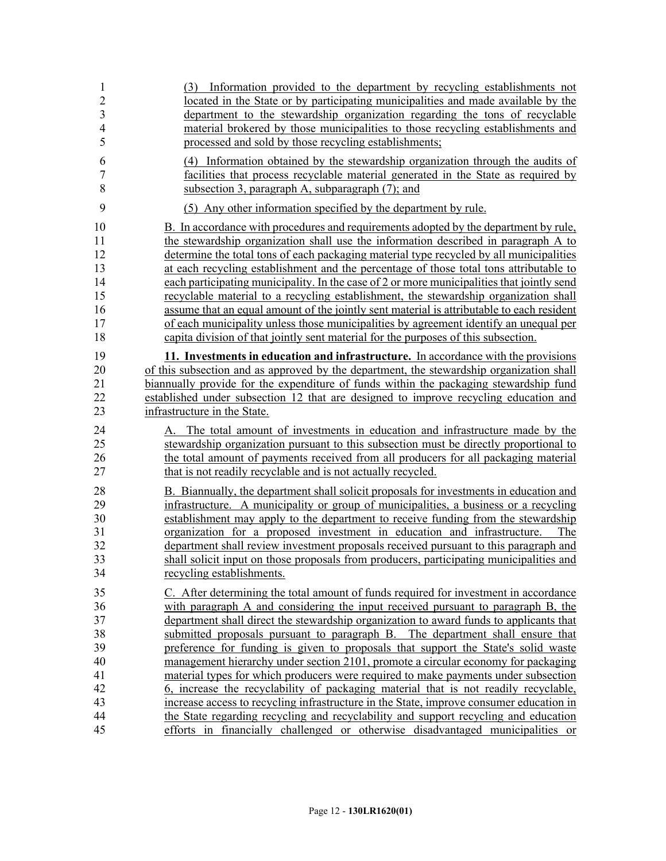| $\mathbf{1}$                           | (3) Information provided to the department by recycling establishments not                                                                                                                                                                                                                                                                                                                                                                                                                                                                                            |
|----------------------------------------|-----------------------------------------------------------------------------------------------------------------------------------------------------------------------------------------------------------------------------------------------------------------------------------------------------------------------------------------------------------------------------------------------------------------------------------------------------------------------------------------------------------------------------------------------------------------------|
| $\overline{c}$                         | located in the State or by participating municipalities and made available by the                                                                                                                                                                                                                                                                                                                                                                                                                                                                                     |
| $\overline{3}$                         | department to the stewardship organization regarding the tons of recyclable                                                                                                                                                                                                                                                                                                                                                                                                                                                                                           |
| $\overline{4}$                         | material brokered by those municipalities to those recycling establishments and                                                                                                                                                                                                                                                                                                                                                                                                                                                                                       |
| 5                                      | processed and sold by those recycling establishments;                                                                                                                                                                                                                                                                                                                                                                                                                                                                                                                 |
| 6                                      | (4) Information obtained by the stewardship organization through the audits of                                                                                                                                                                                                                                                                                                                                                                                                                                                                                        |
| 7                                      | facilities that process recyclable material generated in the State as required by                                                                                                                                                                                                                                                                                                                                                                                                                                                                                     |
| 8                                      | subsection 3, paragraph A, subparagraph (7); and                                                                                                                                                                                                                                                                                                                                                                                                                                                                                                                      |
| 9                                      | (5) Any other information specified by the department by rule.                                                                                                                                                                                                                                                                                                                                                                                                                                                                                                        |
| 10                                     | B. In accordance with procedures and requirements adopted by the department by rule,                                                                                                                                                                                                                                                                                                                                                                                                                                                                                  |
| 11                                     | the stewardship organization shall use the information described in paragraph A to                                                                                                                                                                                                                                                                                                                                                                                                                                                                                    |
| 12                                     | determine the total tons of each packaging material type recycled by all municipalities                                                                                                                                                                                                                                                                                                                                                                                                                                                                               |
| 13                                     | at each recycling establishment and the percentage of those total tons attributable to                                                                                                                                                                                                                                                                                                                                                                                                                                                                                |
| 14                                     | each participating municipality. In the case of 2 or more municipalities that jointly send                                                                                                                                                                                                                                                                                                                                                                                                                                                                            |
| 15                                     | recyclable material to a recycling establishment, the stewardship organization shall                                                                                                                                                                                                                                                                                                                                                                                                                                                                                  |
| 16                                     | assume that an equal amount of the jointly sent material is attributable to each resident                                                                                                                                                                                                                                                                                                                                                                                                                                                                             |
| 17                                     | of each municipality unless those municipalities by agreement identify an unequal per                                                                                                                                                                                                                                                                                                                                                                                                                                                                                 |
| 18                                     | capita division of that jointly sent material for the purposes of this subsection.                                                                                                                                                                                                                                                                                                                                                                                                                                                                                    |
| 19                                     | 11. Investments in education and infrastructure. In accordance with the provisions                                                                                                                                                                                                                                                                                                                                                                                                                                                                                    |
| 20                                     | of this subsection and as approved by the department, the stewardship organization shall                                                                                                                                                                                                                                                                                                                                                                                                                                                                              |
| 21                                     | biannually provide for the expenditure of funds within the packaging stewardship fund                                                                                                                                                                                                                                                                                                                                                                                                                                                                                 |
| 22                                     | established under subsection 12 that are designed to improve recycling education and                                                                                                                                                                                                                                                                                                                                                                                                                                                                                  |
| 23                                     | infrastructure in the State.                                                                                                                                                                                                                                                                                                                                                                                                                                                                                                                                          |
| 24                                     | A. The total amount of investments in education and infrastructure made by the                                                                                                                                                                                                                                                                                                                                                                                                                                                                                        |
| 25                                     | stewardship organization pursuant to this subsection must be directly proportional to                                                                                                                                                                                                                                                                                                                                                                                                                                                                                 |
| 26                                     | the total amount of payments received from all producers for all packaging material                                                                                                                                                                                                                                                                                                                                                                                                                                                                                   |
| 27                                     | that is not readily recyclable and is not actually recycled.                                                                                                                                                                                                                                                                                                                                                                                                                                                                                                          |
| 28<br>29<br>30<br>31<br>32<br>33<br>34 | B. Biannually, the department shall solicit proposals for investments in education and<br>infrastructure. A municipality or group of municipalities, a business or a recycling<br>establishment may apply to the department to receive funding from the stewardship<br>organization for a proposed investment in education and infrastructure.<br>The<br>department shall review investment proposals received pursuant to this paragraph and<br>shall solicit input on those proposals from producers, participating municipalities and<br>recycling establishments. |
| 35                                     | C. After determining the total amount of funds required for investment in accordance                                                                                                                                                                                                                                                                                                                                                                                                                                                                                  |
| 36                                     | with paragraph A and considering the input received pursuant to paragraph B, the                                                                                                                                                                                                                                                                                                                                                                                                                                                                                      |
| 37                                     | department shall direct the stewardship organization to award funds to applicants that                                                                                                                                                                                                                                                                                                                                                                                                                                                                                |
| 38                                     | submitted proposals pursuant to paragraph B. The department shall ensure that                                                                                                                                                                                                                                                                                                                                                                                                                                                                                         |
| 39                                     | preference for funding is given to proposals that support the State's solid waste                                                                                                                                                                                                                                                                                                                                                                                                                                                                                     |
| 40                                     | management hierarchy under section 2101, promote a circular economy for packaging                                                                                                                                                                                                                                                                                                                                                                                                                                                                                     |
| 41                                     | material types for which producers were required to make payments under subsection                                                                                                                                                                                                                                                                                                                                                                                                                                                                                    |
| 42                                     | 6, increase the recyclability of packaging material that is not readily recyclable,                                                                                                                                                                                                                                                                                                                                                                                                                                                                                   |
| 43                                     | increase access to recycling infrastructure in the State, improve consumer education in                                                                                                                                                                                                                                                                                                                                                                                                                                                                               |
| 44                                     | the State regarding recycling and recyclability and support recycling and education                                                                                                                                                                                                                                                                                                                                                                                                                                                                                   |
| 45                                     | efforts in financially challenged or otherwise disadvantaged municipalities or                                                                                                                                                                                                                                                                                                                                                                                                                                                                                        |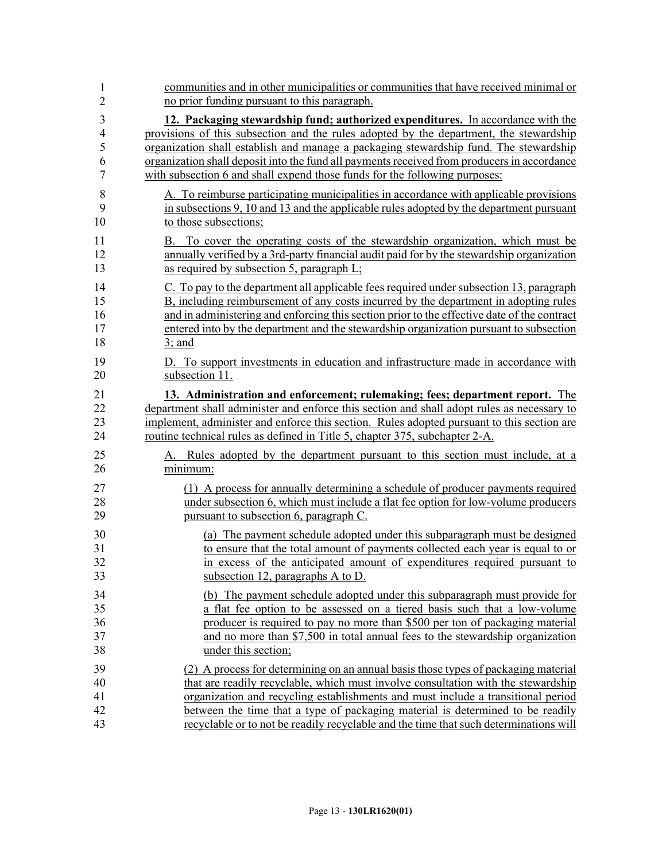| $\mathbf{1}$   | communities and in other municipalities or communities that have received minimal or        |
|----------------|---------------------------------------------------------------------------------------------|
| $\overline{2}$ | no prior funding pursuant to this paragraph.                                                |
| 3              | 12. Packaging stewardship fund; authorized expenditures. In accordance with the             |
| $\overline{4}$ | provisions of this subsection and the rules adopted by the department, the stewardship      |
| 5              | organization shall establish and manage a packaging stewardship fund. The stewardship       |
| 6              | organization shall deposit into the fund all payments received from producers in accordance |
| 7              | with subsection 6 and shall expend those funds for the following purposes:                  |
| 8              | A. To reimburse participating municipalities in accordance with applicable provisions       |
| 9              | in subsections 9, 10 and 13 and the applicable rules adopted by the department pursuant     |
| 10             | to those subsections;                                                                       |
| 11             | B. To cover the operating costs of the stewardship organization, which must be              |
| 12             | annually verified by a 3rd-party financial audit paid for by the stewardship organization   |
| 13             | as required by subsection 5, paragraph L;                                                   |
| 14             | C. To pay to the department all applicable fees required under subsection 13, paragraph     |
| 15             | B, including reimbursement of any costs incurred by the department in adopting rules        |
| 16             | and in administering and enforcing this section prior to the effective date of the contract |
| 17             | entered into by the department and the stewardship organization pursuant to subsection      |
| 18             | $3$ ; and                                                                                   |
| 19             | D. To support investments in education and infrastructure made in accordance with           |
| 20             | subsection 11.                                                                              |
| 21             | 13. Administration and enforcement; rulemaking; fees; department report. The                |
| 22             | department shall administer and enforce this section and shall adopt rules as necessary to  |
| 23             | implement, administer and enforce this section. Rules adopted pursuant to this section are  |
| 24             | routine technical rules as defined in Title 5, chapter 375, subchapter 2-A.                 |
| 25             | A. Rules adopted by the department pursuant to this section must include, at a              |
| 26             | minimum:                                                                                    |
| 27             | (1) A process for annually determining a schedule of producer payments required             |
| 28             | under subsection 6, which must include a flat fee option for low-volume producers           |
| 29             | pursuant to subsection 6, paragraph C.                                                      |
| 30             | (a) The payment schedule adopted under this subparagraph must be designed                   |
| 31             | to ensure that the total amount of payments collected each year is equal to or              |
| 32             | in excess of the anticipated amount of expenditures required pursuant to                    |
| 33             | subsection 12, paragraphs A to D.                                                           |
| 34             | (b) The payment schedule adopted under this subparagraph must provide for                   |
| 35             | a flat fee option to be assessed on a tiered basis such that a low-volume                   |
| 36             | producer is required to pay no more than \$500 per ton of packaging material                |
| 37             | and no more than \$7,500 in total annual fees to the stewardship organization               |
| 38             | under this section;                                                                         |
| 39             | (2) A process for determining on an annual basis those types of packaging material          |
| 40             | that are readily recyclable, which must involve consultation with the stewardship           |
| 41             | organization and recycling establishments and must include a transitional period            |
| 42             | between the time that a type of packaging material is determined to be readily              |
| 43             | recyclable or to not be readily recyclable and the time that such determinations will       |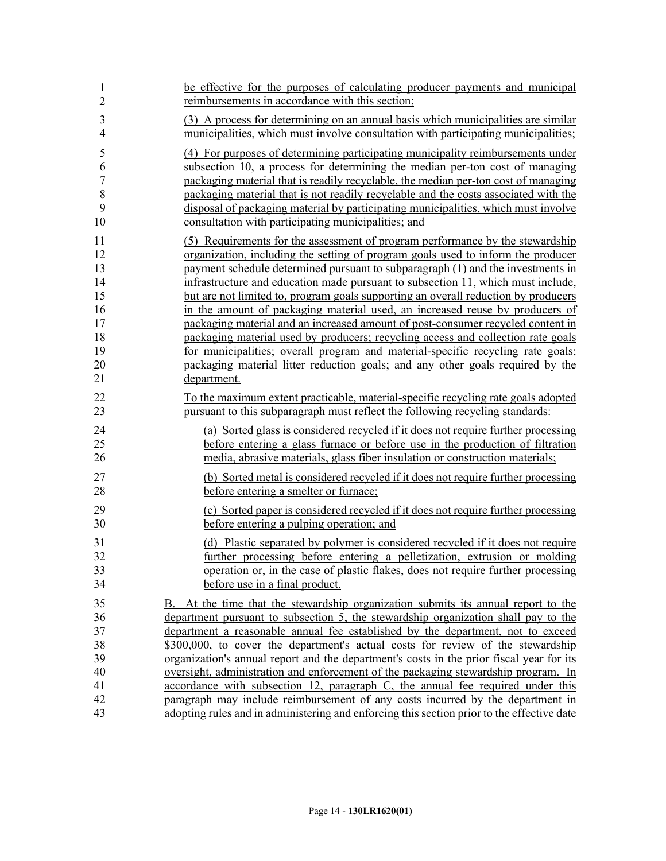| 1              | be effective for the purposes of calculating producer payments and municipal               |
|----------------|--------------------------------------------------------------------------------------------|
| $\overline{2}$ | reimbursements in accordance with this section;                                            |
| 3              | (3) A process for determining on an annual basis which municipalities are similar          |
| $\overline{4}$ | municipalities, which must involve consultation with participating municipalities;         |
| 5              | (4) For purposes of determining participating municipality reimbursements under            |
| 6              | subsection 10, a process for determining the median per-ton cost of managing               |
| $\sqrt{ }$     | packaging material that is readily recyclable, the median per-ton cost of managing         |
| $\,$ 8 $\,$    | packaging material that is not readily recyclable and the costs associated with the        |
| 9              | disposal of packaging material by participating municipalities, which must involve         |
| 10             | consultation with participating municipalities; and                                        |
| 11             | (5) Requirements for the assessment of program performance by the stewardship              |
| 12             | organization, including the setting of program goals used to inform the producer           |
| 13             | payment schedule determined pursuant to subparagraph (1) and the investments in            |
| 14             | infrastructure and education made pursuant to subsection 11, which must include,           |
| 15             | but are not limited to, program goals supporting an overall reduction by producers         |
| 16             | in the amount of packaging material used, an increased reuse by producers of               |
| 17             | packaging material and an increased amount of post-consumer recycled content in            |
| 18             | packaging material used by producers; recycling access and collection rate goals           |
| 19             | for municipalities; overall program and material-specific recycling rate goals;            |
| 20             | packaging material litter reduction goals; and any other goals required by the             |
| 21             | department.                                                                                |
| 22             | To the maximum extent practicable, material-specific recycling rate goals adopted          |
| 23             | pursuant to this subparagraph must reflect the following recycling standards:              |
| 24             | (a) Sorted glass is considered recycled if it does not require further processing          |
| 25             | before entering a glass furnace or before use in the production of filtration              |
| 26             | media, abrasive materials, glass fiber insulation or construction materials;               |
| 27             | (b) Sorted metal is considered recycled if it does not require further processing          |
| 28             | before entering a smelter or furnace;                                                      |
| 29             | (c) Sorted paper is considered recycled if it does not require further processing          |
| 30             | before entering a pulping operation; and                                                   |
| 31             | (d) Plastic separated by polymer is considered recycled if it does not require             |
| 32             | further processing before entering a pelletization, extrusion or molding                   |
| 33             | operation or, in the case of plastic flakes, does not require further processing           |
| 34             | before use in a final product.                                                             |
| 35             | B. At the time that the stewardship organization submits its annual report to the          |
| 36             | department pursuant to subsection 5, the stewardship organization shall pay to the         |
| 37             | department a reasonable annual fee established by the department, not to exceed            |
| 38             | \$300,000, to cover the department's actual costs for review of the stewardship            |
| 39             | organization's annual report and the department's costs in the prior fiscal year for its   |
| 40             | <u>oversight, administration and enforcement of the packaging stewardship program. In</u>  |
| 41             | accordance with subsection 12, paragraph C, the annual fee required under this             |
| 42             | paragraph may include reimbursement of any costs incurred by the department in             |
| 43             | adopting rules and in administering and enforcing this section prior to the effective date |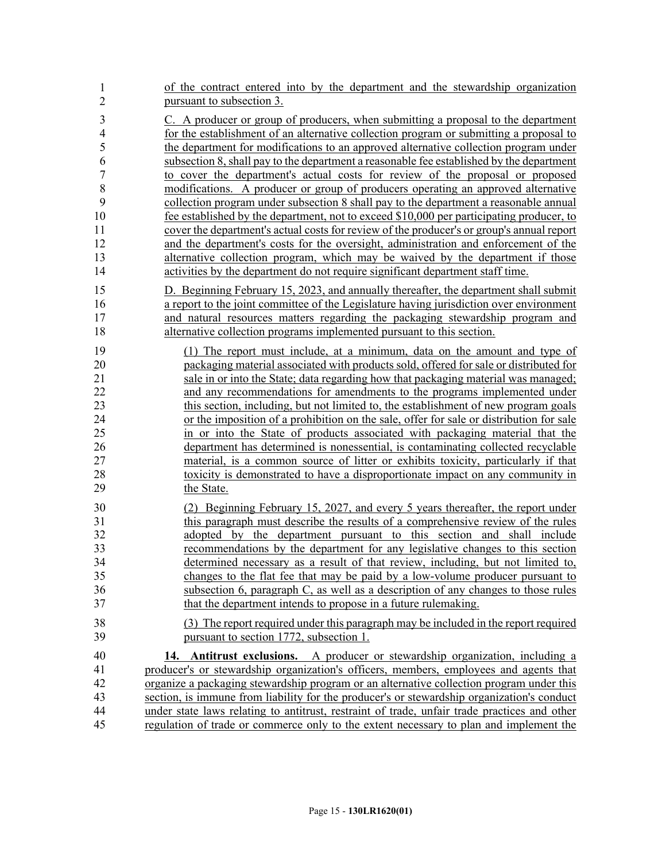| 1              | of the contract entered into by the department and the stewardship organization              |
|----------------|----------------------------------------------------------------------------------------------|
| $\overline{2}$ | pursuant to subsection 3.                                                                    |
| 3              | C. A producer or group of producers, when submitting a proposal to the department            |
| $\overline{4}$ | for the establishment of an alternative collection program or submitting a proposal to       |
| 5              | the department for modifications to an approved alternative collection program under         |
| 6              | subsection 8, shall pay to the department a reasonable fee established by the department     |
| $\overline{7}$ | to cover the department's actual costs for review of the proposal or proposed                |
| 8              | modifications. A producer or group of producers operating an approved alternative            |
| 9              | collection program under subsection 8 shall pay to the department a reasonable annual        |
| 10             | fee established by the department, not to exceed \$10,000 per participating producer, to     |
| 11             | cover the department's actual costs for review of the producer's or group's annual report    |
| 12             | and the department's costs for the oversight, administration and enforcement of the          |
| 13             | alternative collection program, which may be waived by the department if those               |
| 14             | activities by the department do not require significant department staff time.               |
| 15             | D. Beginning February 15, 2023, and annually thereafter, the department shall submit         |
| 16             | a report to the joint committee of the Legislature having jurisdiction over environment      |
| 17             | and natural resources matters regarding the packaging stewardship program and                |
| 18             | alternative collection programs implemented pursuant to this section.                        |
| 19             | (1) The report must include, at a minimum, data on the amount and type of                    |
| 20             | packaging material associated with products sold, offered for sale or distributed for        |
| 21             | sale in or into the State; data regarding how that packaging material was managed;           |
| 22             | and any recommendations for amendments to the programs implemented under                     |
| 23             | this section, including, but not limited to, the establishment of new program goals          |
| 24             | or the imposition of a prohibition on the sale, offer for sale or distribution for sale      |
| 25             | in or into the State of products associated with packaging material that the                 |
| 26             | department has determined is nonessential, is contaminating collected recyclable             |
| 27             | material, is a common source of litter or exhibits toxicity, particularly if that            |
| 28             | toxicity is demonstrated to have a disproportionate impact on any community in               |
| 29             | the State.                                                                                   |
| 30             | (2) Beginning February 15, 2027, and every 5 years thereafter, the report under              |
| 31             | this paragraph must describe the results of a comprehensive review of the rules              |
| 32             | adopted by the department pursuant to this section and shall include                         |
| 33             | recommendations by the department for any legislative changes to this section                |
| 34             | determined necessary as a result of that review, including, but not limited to,              |
| 35             | changes to the flat fee that may be paid by a low-volume producer pursuant to                |
| 36             | subsection 6, paragraph C, as well as a description of any changes to those rules            |
| 37             | that the department intends to propose in a future rulemaking.                               |
| 38             | (3) The report required under this paragraph may be included in the report required          |
| 39             | pursuant to section 1772, subsection 1.                                                      |
| 40             | 14. Antitrust exclusions. A producer or stewardship organization, including a                |
| 41             | producer's or stewardship organization's officers, members, employees and agents that        |
| 42             | organize a packaging stewardship program or an alternative collection program under this     |
| 43             | section, is immune from liability for the producer's or stewardship organization's conduct   |
| 44             | under state laws relating to antitrust, restraint of trade, unfair trade practices and other |
| 45             | regulation of trade or commerce only to the extent necessary to plan and implement the       |